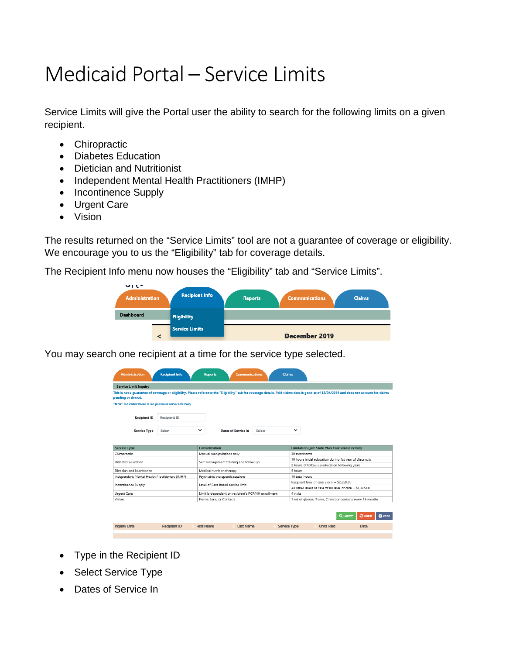## Medicaid Portal – Service Limits

Service Limits will give the Portal user the ability to search for the following limits on a given recipient.

- Chiropractic
- Diabetes Education
- Dietician and Nutritionist
- Independent Mental Health Practitioners (IMHP)
- Incontinence Supply
- Urgent Care
- Vision

The results returned on the "Service Limits" tool are not a guarantee of coverage or eligibility. We encourage you to us the "Eligibility" tab for coverage details.

The Recipient Info menu now houses the "Eligibility" tab and "Service Limits".



You may search one recipient at a time for the service type selected.

| <b>Service Limit Inquiry</b>                                                                                                                                                                  |                     |   |                                                     |        |             |                                                                                                                                                                                            |
|-----------------------------------------------------------------------------------------------------------------------------------------------------------------------------------------------|---------------------|---|-----------------------------------------------------|--------|-------------|--------------------------------------------------------------------------------------------------------------------------------------------------------------------------------------------|
| pending or denied.                                                                                                                                                                            |                     |   |                                                     |        |             | This is not a quarantee of coverage or eligibility. Please reference the "Eligibility" tab for coverage details. Paid claims data is good as of 12/04/2019 and does not account for claims |
| "N/A" indicates there is no previous service history.                                                                                                                                         |                     |   |                                                     |        |             |                                                                                                                                                                                            |
| <b>Recipient ID</b>                                                                                                                                                                           | <b>Recipient ID</b> |   |                                                     |        |             |                                                                                                                                                                                            |
| Service Type                                                                                                                                                                                  | Select              | ◡ | Dates of Service In                                 | Select | $\check{~}$ |                                                                                                                                                                                            |
|                                                                                                                                                                                               |                     |   |                                                     |        |             |                                                                                                                                                                                            |
|                                                                                                                                                                                               |                     |   | Consideration                                       |        |             | Limitation (per State Plan Year unless noted)                                                                                                                                              |
|                                                                                                                                                                                               |                     |   | Manual manipulations only                           |        |             | 30 treatments                                                                                                                                                                              |
|                                                                                                                                                                                               |                     |   |                                                     |        |             | 10 hours initial education during 1st year of diagnosis                                                                                                                                    |
|                                                                                                                                                                                               |                     |   | Self-management training and follow-up              |        |             | 2 hours of follow-up education following years                                                                                                                                             |
|                                                                                                                                                                                               |                     |   | Medical nutrition therapy                           |        | 5 hours     |                                                                                                                                                                                            |
|                                                                                                                                                                                               |                     |   | Psychiatric therapeutic sessions                    |        |             | 40 total hours                                                                                                                                                                             |
|                                                                                                                                                                                               |                     |   |                                                     |        |             | Recipient level of care E or F = \$2.250.00                                                                                                                                                |
|                                                                                                                                                                                               |                     |   | Level of Care based service limit                   |        |             | All other levels of care or no level of care = \$1.345.00                                                                                                                                  |
| <b>Service Type</b><br>Chiropractic<br><b>Diabetes Education</b><br>Dietician and Nutritionist<br>Independent Mental Health Practitioners (IMHP)<br><b>Incontinence Supply</b><br>Urgent Care |                     |   | Limit is dependent on recipient's PCP/HH enrollment |        | 4 visits    |                                                                                                                                                                                            |

- Type in the Recipient ID
- Select Service Type
- Dates of Service In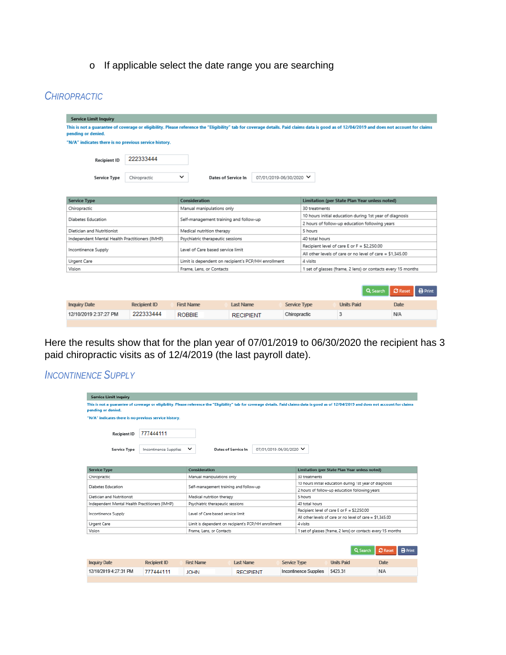o If applicable select the date range you are searching

## *CHIROPRACTIC*

| <b>Service Limit Inquiry</b>                                                                                                                                                                                     |                                                                            |                                                     |                                        |                              |                     |                                                |                                                         |                                                              |  |  |
|------------------------------------------------------------------------------------------------------------------------------------------------------------------------------------------------------------------|----------------------------------------------------------------------------|-----------------------------------------------------|----------------------------------------|------------------------------|---------------------|------------------------------------------------|---------------------------------------------------------|--------------------------------------------------------------|--|--|
| This is not a guarantee of coverage or eligibility. Please reference the "Eligibility" tab for coverage details. Paid claims data is good as of 12/04/2019 and does not account for claims<br>pending or denied. |                                                                            |                                                     |                                        |                              |                     |                                                |                                                         |                                                              |  |  |
| "N/A" indicates there is no previous service history.                                                                                                                                                            |                                                                            |                                                     |                                        |                              |                     |                                                |                                                         |                                                              |  |  |
| <b>Recipient ID</b>                                                                                                                                                                                              | 222333444                                                                  |                                                     |                                        |                              |                     |                                                |                                                         |                                                              |  |  |
| <b>Service Type</b>                                                                                                                                                                                              | Chiropractic                                                               | ◡                                                   | <b>Dates of Service In</b>             | 07/01/2019-06/30/2020 $\vee$ |                     |                                                |                                                         |                                                              |  |  |
|                                                                                                                                                                                                                  |                                                                            |                                                     |                                        |                              |                     |                                                |                                                         |                                                              |  |  |
| <b>Service Type</b>                                                                                                                                                                                              |                                                                            | Consideration                                       |                                        |                              |                     | Limitation (per State Plan Year unless noted)  |                                                         |                                                              |  |  |
| Chiropractic                                                                                                                                                                                                     |                                                                            | Manual manipulations only                           |                                        |                              |                     | 30 treatments                                  |                                                         |                                                              |  |  |
| Diabetes Education                                                                                                                                                                                               |                                                                            |                                                     | Self-management training and follow-up |                              |                     |                                                | 10 hours initial education during 1st year of diagnosis |                                                              |  |  |
|                                                                                                                                                                                                                  |                                                                            |                                                     |                                        |                              |                     | 2 hours of follow-up education following years |                                                         |                                                              |  |  |
| Dietician and Nutritionist                                                                                                                                                                                       |                                                                            | Medical nutrition therapy                           |                                        |                              |                     | 5 hours                                        |                                                         |                                                              |  |  |
| Independent Mental Health Practitioners (IMHP)                                                                                                                                                                   |                                                                            | Psychiatric therapeutic sessions                    |                                        |                              |                     | 40 total hours                                 |                                                         |                                                              |  |  |
| Incontinence Supply                                                                                                                                                                                              |                                                                            | Level of Care based service limit                   |                                        |                              |                     | Recipient level of care E or F = \$2,250.00    |                                                         |                                                              |  |  |
|                                                                                                                                                                                                                  |                                                                            |                                                     |                                        |                              |                     |                                                |                                                         | All other levels of care or no level of care = $$1.345.00$   |  |  |
| Urgent Care                                                                                                                                                                                                      |                                                                            | Limit is dependent on recipient's PCP/HH enrollment |                                        |                              |                     | 4 visits                                       |                                                         |                                                              |  |  |
| Vision                                                                                                                                                                                                           |                                                                            | Frame, Lens, or Contacts                            |                                        |                              |                     |                                                |                                                         | 1 set of glasses (frame, 2 lens) or contacts every 15 months |  |  |
|                                                                                                                                                                                                                  |                                                                            |                                                     |                                        |                              |                     |                                                |                                                         | $\Omega$ Reset<br><b>B</b> Print<br>Q Search                 |  |  |
| <b>Inquiry Date</b>                                                                                                                                                                                              | <b>Recipient ID</b>                                                        | <b>First Name</b>                                   | <b>Last Name</b>                       |                              | <b>Service Type</b> |                                                | <b>Units Paid</b>                                       | <b>Date</b>                                                  |  |  |
| 12/10/2019 2:37:27 PM                                                                                                                                                                                            | 222333444<br>3<br>Chiropractic<br>N/A<br><b>ROBBIE</b><br><b>RECIPIENT</b> |                                                     |                                        |                              |                     |                                                |                                                         |                                                              |  |  |
|                                                                                                                                                                                                                  |                                                                            |                                                     |                                        |                              |                     |                                                |                                                         |                                                              |  |  |

Here the results show that for the plan year of 07/01/2019 to 06/30/2020 the recipient has 3 paid chiropractic visits as of 12/4/2019 (the last payroll date).

## *INCONTINENCE SUPPLY*

| <b>Service Limit Inquiry</b>                                                                                                                                                                                     |                       |                                   |                                                     |                  |                              |                                                |                                                              |                                                           |  |  |
|------------------------------------------------------------------------------------------------------------------------------------------------------------------------------------------------------------------|-----------------------|-----------------------------------|-----------------------------------------------------|------------------|------------------------------|------------------------------------------------|--------------------------------------------------------------|-----------------------------------------------------------|--|--|
| This is not a quarantee of coverage or eligibility. Please reference the "Eligibility" tab for coverage details. Paid claims data is good as of 12/04/2019 and does not account for claims<br>pending or denied. |                       |                                   |                                                     |                  |                              |                                                |                                                              |                                                           |  |  |
| "N/A" indicates there is no previous service history.                                                                                                                                                            |                       |                                   |                                                     |                  |                              |                                                |                                                              |                                                           |  |  |
| <b>Recipient ID</b>                                                                                                                                                                                              | 777444111             |                                   |                                                     |                  |                              |                                                |                                                              |                                                           |  |  |
| <b>Service Type</b>                                                                                                                                                                                              | Incontinence Supplies | ◡                                 | Dates of Service In                                 |                  | 07/01/2019-06/30/2020 $\vee$ |                                                |                                                              |                                                           |  |  |
|                                                                                                                                                                                                                  |                       |                                   |                                                     |                  |                              |                                                |                                                              |                                                           |  |  |
| <b>Service Type</b>                                                                                                                                                                                              |                       | Consideration                     |                                                     |                  |                              | Limitation (per State Plan Year unless noted)  |                                                              |                                                           |  |  |
| Chiropractic                                                                                                                                                                                                     |                       |                                   | Manual manipulations only                           |                  |                              | 30 treatments                                  |                                                              |                                                           |  |  |
| Diabetes Education                                                                                                                                                                                               |                       |                                   | Self-management training and follow-up              |                  |                              |                                                |                                                              | 10 hours initial education during 1st year of diagnosis   |  |  |
|                                                                                                                                                                                                                  |                       |                                   |                                                     |                  |                              | 2 hours of follow-up education following years |                                                              |                                                           |  |  |
| Dietician and Nutritionist                                                                                                                                                                                       |                       |                                   | Medical nutrition therapy                           |                  |                              | 5 hours                                        |                                                              |                                                           |  |  |
| Independent Mental Health Practitioners (IMHP)                                                                                                                                                                   |                       |                                   | Psychiatric therapeutic sessions                    |                  |                              | 40 total hours                                 |                                                              |                                                           |  |  |
| Incontinence Supply                                                                                                                                                                                              |                       | Level of Care based service limit |                                                     |                  |                              | Recipient level of care E or F = \$2.250.00    |                                                              |                                                           |  |  |
|                                                                                                                                                                                                                  |                       |                                   |                                                     |                  |                              |                                                |                                                              | All other levels of care or no level of care = \$1.345.00 |  |  |
| Urgent Care                                                                                                                                                                                                      |                       |                                   | Limit is dependent on recipient's PCP/HH enrollment |                  |                              | A visits                                       |                                                              |                                                           |  |  |
| Vision                                                                                                                                                                                                           |                       |                                   | Frame, Lens, or Contacts                            |                  |                              |                                                | 1 set of glasses (frame, 2 lens) or contacts every 15 months |                                                           |  |  |
|                                                                                                                                                                                                                  |                       |                                   |                                                     |                  |                              |                                                |                                                              | <b>B</b> Print<br>$\Omega$ Reset<br>Q Search              |  |  |
| <b>Inquiry Date</b>                                                                                                                                                                                              | <b>Recipient ID</b>   | <b>First Name</b>                 | <b>Last Name</b>                                    |                  | <b>Service Type</b>          |                                                | <b>Units Paid</b>                                            | Date                                                      |  |  |
| 12/10/2019 4:27:31 PM                                                                                                                                                                                            | 777444111             | <b>JOHN</b>                       |                                                     | <b>RECIPIENT</b> |                              | Incontinence Supplies                          | \$423.31                                                     | <b>N/A</b>                                                |  |  |